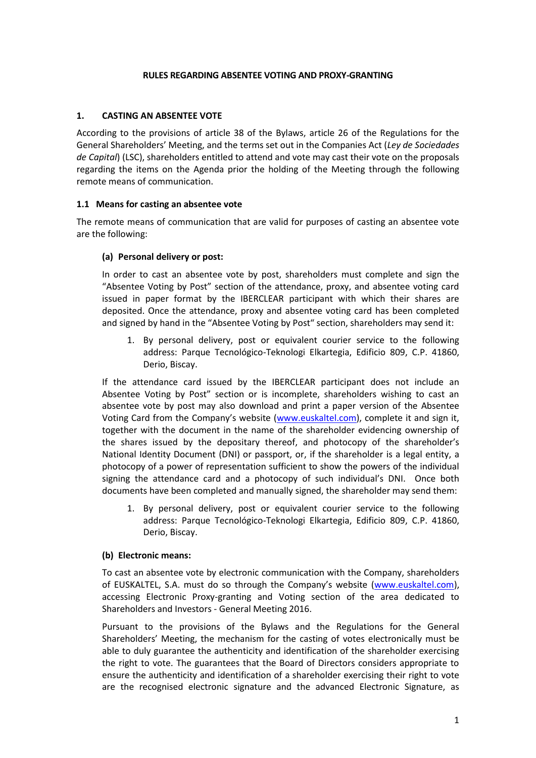#### **RULES REGARDING ABSENTEE VOTING AND PROXY-GRANTING**

#### **1. CASTING AN ABSENTEE VOTE**

According to the provisions of article 38 of the Bylaws, article 26 of the Regulations for the General Shareholders' Meeting, and the terms set out in the Companies Act (*Ley de Sociedades de Capital*) (LSC), shareholders entitled to attend and vote may cast their vote on the proposals regarding the items on the Agenda prior the holding of the Meeting through the following remote means of communication.

#### **1.1 Means for casting an absentee vote**

The remote means of communication that are valid for purposes of casting an absentee vote are the following:

#### **(a) Personal delivery or post:**

In order to cast an absentee vote by post, shareholders must complete and sign the "Absentee Voting by Post" section of the attendance, proxy, and absentee voting card issued in paper format by the IBERCLEAR participant with which their shares are deposited. Once the attendance, proxy and absentee voting card has been completed and signed by hand in the "Absentee Voting by Post" section, shareholders may send it:

1. By personal delivery, post or equivalent courier service to the following address: Parque Tecnológico-Teknologi Elkartegia, Edificio 809, C.P. 41860, Derio, Biscay.

If the attendance card issued by the IBERCLEAR participant does not include an Absentee Voting by Post" section or is incomplete, shareholders wishing to cast an absentee vote by post may also download and print a paper version of the Absentee Voting Card from the Company's website ([www.euskaltel.com\)](http://www.euskaltel.com/), complete it and sign it, together with the document in the name of the shareholder evidencing ownership of the shares issued by the depositary thereof, and photocopy of the shareholder's National Identity Document (DNI) or passport, or, if the shareholder is a legal entity, a photocopy of a power of representation sufficient to show the powers of the individual signing the attendance card and a photocopy of such individual's DNI. Once both documents have been completed and manually signed, the shareholder may send them:

1. By personal delivery, post or equivalent courier service to the following address: Parque Tecnológico-Teknologi Elkartegia, Edificio 809, C.P. 41860, Derio, Biscay.

#### **(b) Electronic means:**

To cast an absentee vote by electronic communication with the Company, shareholders of EUSKALTEL, S.A. must do so through the Company's website ([www.euskaltel.com\)](http://www.euskaltel.com/), accessing Electronic Proxy-granting and Voting section of the area dedicated to Shareholders and Investors - General Meeting 2016.

Pursuant to the provisions of the Bylaws and the Regulations for the General Shareholders' Meeting, the mechanism for the casting of votes electronically must be able to duly guarantee the authenticity and identification of the shareholder exercising the right to vote. The guarantees that the Board of Directors considers appropriate to ensure the authenticity and identification of a shareholder exercising their right to vote are the recognised electronic signature and the advanced Electronic Signature, as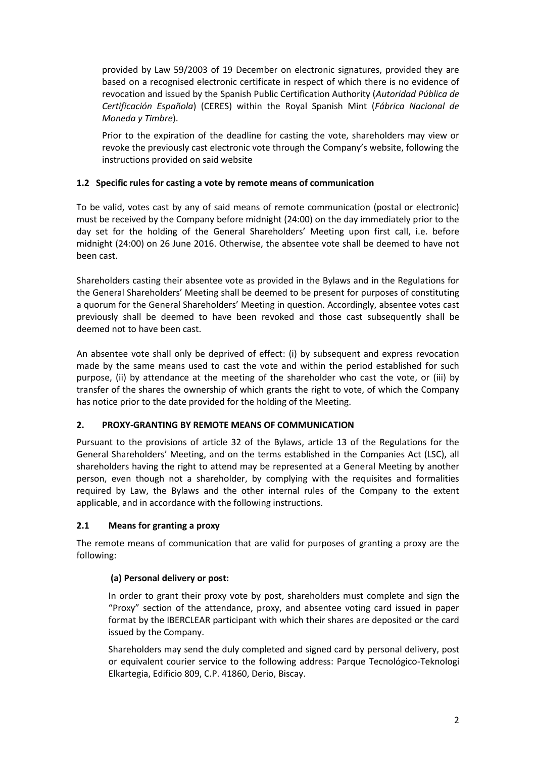provided by Law 59/2003 of 19 December on electronic signatures, provided they are based on a recognised electronic certificate in respect of which there is no evidence of revocation and issued by the Spanish Public Certification Authority (*Autoridad Pública de Certificación Española*) (CERES) within the Royal Spanish Mint (*Fábrica Nacional de Moneda y Timbre*).

Prior to the expiration of the deadline for casting the vote, shareholders may view or revoke the previously cast electronic vote through the Company's website, following the instructions provided on said website

# **1.2 Specific rules for casting a vote by remote means of communication**

To be valid, votes cast by any of said means of remote communication (postal or electronic) must be received by the Company before midnight (24:00) on the day immediately prior to the day set for the holding of the General Shareholders' Meeting upon first call, i.e. before midnight (24:00) on 26 June 2016. Otherwise, the absentee vote shall be deemed to have not been cast.

Shareholders casting their absentee vote as provided in the Bylaws and in the Regulations for the General Shareholders' Meeting shall be deemed to be present for purposes of constituting a quorum for the General Shareholders' Meeting in question. Accordingly, absentee votes cast previously shall be deemed to have been revoked and those cast subsequently shall be deemed not to have been cast.

An absentee vote shall only be deprived of effect: (i) by subsequent and express revocation made by the same means used to cast the vote and within the period established for such purpose, (ii) by attendance at the meeting of the shareholder who cast the vote, or (iii) by transfer of the shares the ownership of which grants the right to vote, of which the Company has notice prior to the date provided for the holding of the Meeting.

# **2. PROXY-GRANTING BY REMOTE MEANS OF COMMUNICATION**

Pursuant to the provisions of article 32 of the Bylaws, article 13 of the Regulations for the General Shareholders' Meeting, and on the terms established in the Companies Act (LSC), all shareholders having the right to attend may be represented at a General Meeting by another person, even though not a shareholder, by complying with the requisites and formalities required by Law, the Bylaws and the other internal rules of the Company to the extent applicable, and in accordance with the following instructions.

# **2.1 Means for granting a proxy**

The remote means of communication that are valid for purposes of granting a proxy are the following:

# **(a) Personal delivery or post:**

In order to grant their proxy vote by post, shareholders must complete and sign the "Proxy" section of the attendance, proxy, and absentee voting card issued in paper format by the IBERCLEAR participant with which their shares are deposited or the card issued by the Company.

Shareholders may send the duly completed and signed card by personal delivery, post or equivalent courier service to the following address: Parque Tecnológico-Teknologi Elkartegia, Edificio 809, C.P. 41860, Derio, Biscay.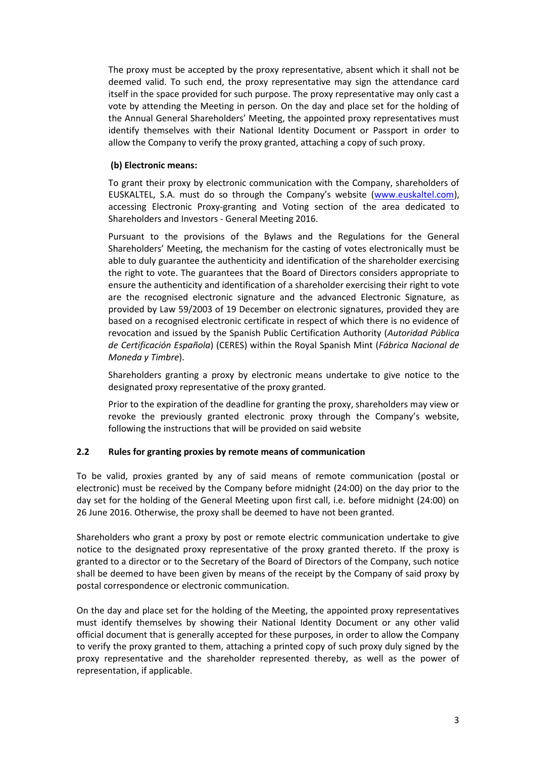The proxy must be accepted by the proxy representative, absent which it shall not be deemed valid. To such end, the proxy representative may sign the attendance card itself in the space provided for such purpose. The proxy representative may only cast a vote by attending the Meeting in person. On the day and place set for the holding of the Annual General Shareholders' Meeting, the appointed proxy representatives must identify themselves with their National Identity Document or Passport in order to allow the Company to verify the proxy granted, attaching a copy of such proxy.

#### **(b) Electronic means:**

To grant their proxy by electronic communication with the Company, shareholders of EUSKALTEL, S.A. must do so through the Company's website ([www.euskaltel.com\)](http://www.euskaltel.com/), accessing Electronic Proxy-granting and Voting section of the area dedicated to Shareholders and Investors - General Meeting 2016.

Pursuant to the provisions of the Bylaws and the Regulations for the General Shareholders' Meeting, the mechanism for the casting of votes electronically must be able to duly guarantee the authenticity and identification of the shareholder exercising the right to vote. The guarantees that the Board of Directors considers appropriate to ensure the authenticity and identification of a shareholder exercising their right to vote are the recognised electronic signature and the advanced Electronic Signature, as provided by Law 59/2003 of 19 December on electronic signatures, provided they are based on a recognised electronic certificate in respect of which there is no evidence of revocation and issued by the Spanish Public Certification Authority (*Autoridad Pública de Certificación Española*) (CERES) within the Royal Spanish Mint (*Fábrica Nacional de Moneda y Timbre*).

Shareholders granting a proxy by electronic means undertake to give notice to the designated proxy representative of the proxy granted.

Prior to the expiration of the deadline for granting the proxy, shareholders may view or revoke the previously granted electronic proxy through the Company's website, following the instructions that will be provided on said website

# **2.2 Rules for granting proxies by remote means of communication**

To be valid, proxies granted by any of said means of remote communication (postal or electronic) must be received by the Company before midnight (24:00) on the day prior to the day set for the holding of the General Meeting upon first call, i.e. before midnight (24:00) on 26 June 2016. Otherwise, the proxy shall be deemed to have not been granted.

Shareholders who grant a proxy by post or remote electric communication undertake to give notice to the designated proxy representative of the proxy granted thereto. If the proxy is granted to a director or to the Secretary of the Board of Directors of the Company, such notice shall be deemed to have been given by means of the receipt by the Company of said proxy by postal correspondence or electronic communication.

On the day and place set for the holding of the Meeting, the appointed proxy representatives must identify themselves by showing their National Identity Document or any other valid official document that is generally accepted for these purposes, in order to allow the Company to verify the proxy granted to them, attaching a printed copy of such proxy duly signed by the proxy representative and the shareholder represented thereby, as well as the power of representation, if applicable.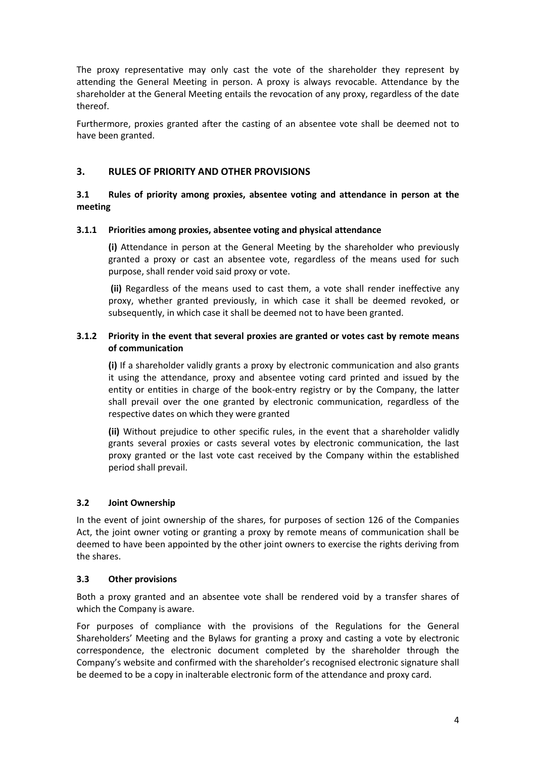The proxy representative may only cast the vote of the shareholder they represent by attending the General Meeting in person. A proxy is always revocable. Attendance by the shareholder at the General Meeting entails the revocation of any proxy, regardless of the date thereof.

Furthermore, proxies granted after the casting of an absentee vote shall be deemed not to have been granted.

# **3. RULES OF PRIORITY AND OTHER PROVISIONS**

# **3.1 Rules of priority among proxies, absentee voting and attendance in person at the meeting**

#### **3.1.1 Priorities among proxies, absentee voting and physical attendance**

**(i)** Attendance in person at the General Meeting by the shareholder who previously granted a proxy or cast an absentee vote, regardless of the means used for such purpose, shall render void said proxy or vote.

**(ii)** Regardless of the means used to cast them, a vote shall render ineffective any proxy, whether granted previously, in which case it shall be deemed revoked, or subsequently, in which case it shall be deemed not to have been granted.

#### **3.1.2 Priority in the event that several proxies are granted or votes cast by remote means of communication**

**(i)** If a shareholder validly grants a proxy by electronic communication and also grants it using the attendance, proxy and absentee voting card printed and issued by the entity or entities in charge of the book-entry registry or by the Company, the latter shall prevail over the one granted by electronic communication, regardless of the respective dates on which they were granted

**(ii)** Without prejudice to other specific rules, in the event that a shareholder validly grants several proxies or casts several votes by electronic communication, the last proxy granted or the last vote cast received by the Company within the established period shall prevail.

# **3.2 Joint Ownership**

In the event of joint ownership of the shares, for purposes of section 126 of the Companies Act, the joint owner voting or granting a proxy by remote means of communication shall be deemed to have been appointed by the other joint owners to exercise the rights deriving from the shares.

#### **3.3 Other provisions**

Both a proxy granted and an absentee vote shall be rendered void by a transfer shares of which the Company is aware.

For purposes of compliance with the provisions of the Regulations for the General Shareholders' Meeting and the Bylaws for granting a proxy and casting a vote by electronic correspondence, the electronic document completed by the shareholder through the Company's website and confirmed with the shareholder's recognised electronic signature shall be deemed to be a copy in inalterable electronic form of the attendance and proxy card.